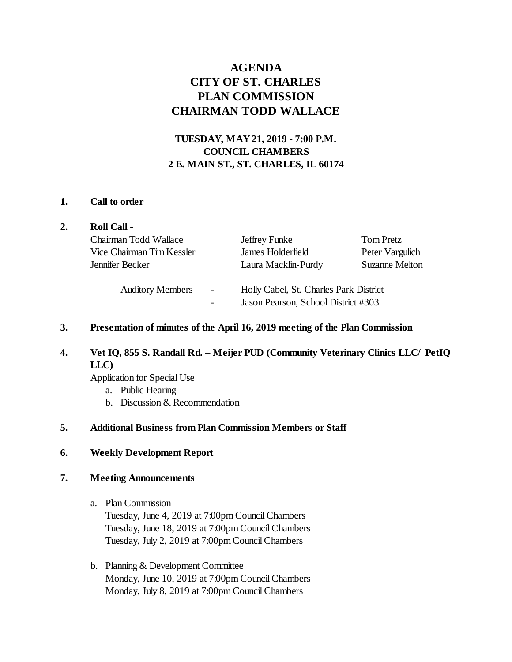# **AGENDA CITY OF ST. CHARLES PLAN COMMISSION CHAIRMAN TODD WALLACE**

# **TUESDAY, MAY 21, 2019 - 7:00 P.M. COUNCIL CHAMBERS 2 E. MAIN ST., ST. CHARLES, IL 60174**

#### **1. Call to order**

| 2. | <b>Roll Call -</b>        |                          |                                                                               |                       |
|----|---------------------------|--------------------------|-------------------------------------------------------------------------------|-----------------------|
|    | Chairman Todd Wallace     |                          | Jeffrey Funke                                                                 | <b>Tom Pretz</b>      |
|    | Vice Chairman Tim Kessler |                          | James Holderfield                                                             | Peter Vargulich       |
|    | Jennifer Becker           |                          | Laura Macklin-Purdy                                                           | <b>Suzanne Melton</b> |
|    | <b>Auditory Members</b>   | $\overline{\phantom{a}}$ | Holly Cabel, St. Charles Park District<br>Jason Pearson, School District #303 |                       |

#### **3. Presentation of minutes of the April 16, 2019 meeting of the Plan Commission**

## **4. Vet IQ, 855 S. Randall Rd. – Meijer PUD (Community Veterinary Clinics LLC/ PetIQ LLC)**

Application for Special Use

- a. Public Hearing
- b. Discussion & Recommendation

### **5. Additional Business from Plan Commission Members or Staff**

#### **6. Weekly Development Report**

#### **7. Meeting Announcements**

- a. Plan Commission Tuesday, June 4, 2019 at 7:00pm Council Chambers Tuesday, June 18, 2019 at 7:00pm Council Chambers Tuesday, July 2, 2019 at 7:00pm Council Chambers
- b. Planning & Development Committee Monday, June 10, 2019 at 7:00pm Council Chambers Monday, July 8, 2019 at 7:00pm Council Chambers